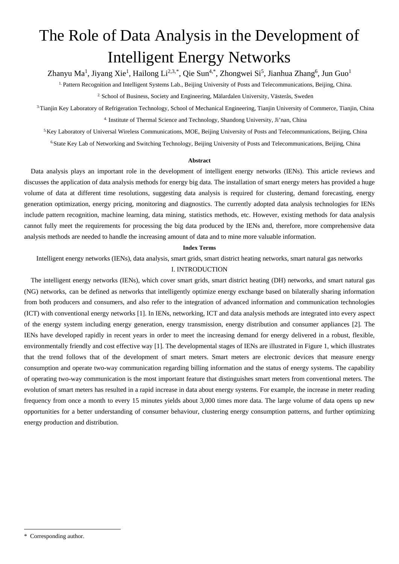# The Role of Data Analysis in the Development of Intelligent Energy Networks

Zhanyu Ma<sup>1</sup>, Jiyang Xie<sup>1</sup>, Hailong Li<sup>2,3,[\\*](#page-0-1)</sup>, Qie Sun<sup>[4,\\*](#page-0-0)</sup>, Zhongwei Si<sup>5</sup>, Jianhua Zhang<sup>6</sup>, Jun Guo<sup>1</sup>

1. Pattern Recognition and Intelligent Systems Lab., Beijing University of Posts and Telecommunications, Beijing, China.

<span id="page-0-0"></span>2. School of Business, Society and Engineering, Mälardalen University, Västerås, Sweden

3.Tianjin Key Laboratory of Refrigeration Technology, School of Mechanical Engineering, Tianjin University of Commerce, Tianjin, China 4. Institute of Thermal Science and Technology, Shandong University, Ji'nan, China

<sup>5</sup> Key Laboratory of Universal Wireless Communications, MOE, Beijing University of Posts and Telecommunications, Beijing, China 6. State Key Lab of Networking and Switching Technology, Beijing University of Posts and Telecommunications, Beijing, China

# **Abstract**

Data analysis plays an important role in the development of intelligent energy networks (IENs). This article reviews and discusses the application of data analysis methods for energy big data. The installation of smart energy meters has provided a huge volume of data at different time resolutions, suggesting data analysis is required for clustering, demand forecasting, energy generation optimization, energy pricing, monitoring and diagnostics. The currently adopted data analysis technologies for IENs include pattern recognition, machine learning, data mining, statistics methods, etc. However, existing methods for data analysis cannot fully meet the requirements for processing the big data produced by the IENs and, therefore, more comprehensive data analysis methods are needed to handle the increasing amount of data and to mine more valuable information.

# **Index Terms**

Intelligent energy networks (IENs), data analysis, smart grids, smart district heating networks, smart natural gas networks

# I. INTRODUCTION

The intelligent energy networks (IENs), which cover smart grids, smart district heating (DH) networks, and smart natural gas (NG) networks, can be defined as networks that intelligently optimize energy exchange based on bilaterally sharing information from both producers and consumers, and also refer to the integration of advanced information and communication technologies (ICT) with conventional energy networks [1]. In IENs, networking, ICT and data analysis methods are integrated into every aspect of the energy system including energy generation, energy transmission, energy distribution and consumer appliances [2]. The IENs have developed rapidly in recent years in order to meet the increasing demand for energy delivered in a robust, flexible, environmentally friendly and cost effective way [1]. The developmental stages of IENs are illustrated in Figure 1, which illustrates that the trend follows that of the development of smart meters. Smart meters are electronic devices that measure energy consumption and operate two-way communication regarding billing information and the status of energy systems. The capability of operating two-way communication is the most important feature that distinguishes smart meters from conventional meters. The evolution of smart meters has resulted in a rapid increase in data about energy systems. For example, the increase in meter reading frequency from once a month to every 15 minutes yields about 3,000 times more data. The large volume of data opens up new opportunities for a better understanding of consumer behaviour, clustering energy consumption patterns, and further optimizing energy production and distribution.

<span id="page-0-1"></span> <sup>\*</sup> Corresponding author.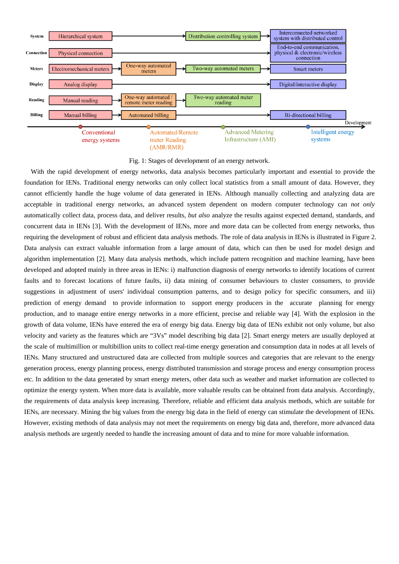

Fig. 1: Stages of development of an energy network.

With the rapid development of energy networks, data analysis becomes particularly important and essential to provide the foundation for IENs. Traditional energy networks can only collect local statistics from a small amount of data. However, they cannot efficiently handle the huge volume of data generated in IENs. Although manually collecting and analyzing data are acceptable in traditional energy networks, an advanced system dependent on modern computer technology can *not only* automatically collect data, process data, and deliver results, *but also* analyze the results against expected demand, standards, and concurrent data in IENs [3]. With the development of IENs, more and more data can be collected from energy networks, thus requiring the development of robust and efficient data analysis methods. The role of data analysis in IENs is illustrated in Figure 2. Data analysis can extract valuable information from a large amount of data, which can then be used for model design and algorithm implementation [2]. Many data analysis methods, which include pattern recognition and machine learning, have been developed and adopted mainly in three areas in IENs: i) malfunction diagnosis of energy networks to identify locations of current faults and to forecast locations of future faults, ii) data mining of consumer behaviours to cluster consumers, to provide suggestions in adjustment of users' individual consumption patterns, and to design policy for specific consumers, and iii) prediction of energy demand to provide information to support energy producers in the accurate planning for energy production, and to manage entire energy networks in a more efficient, precise and reliable way [4]. With the explosion in the growth of data volume, IENs have entered the era of energy big data. Energy big data of IENs exhibit not only volume, but also velocity and variety as the features which are "3Vs" model describing big data [2]. Smart energy meters are usually deployed at the scale of multimillion or multibillion units to collect real-time energy generation and consumption data in nodes at all levels of IENs. Many structured and unstructured data are collected from multiple sources and categories that are relevant to the energy generation process, energy planning process, energy distributed transmission and storage process and energy consumption process etc. In addition to the data generated by smart energy meters, other data such as weather and market information are collected to optimize the energy system. When more data is available, more valuable results can be obtained from data analysis. Accordingly, the requirements of data analysis keep increasing. Therefore, reliable and efficient data analysis methods, which are suitable for IENs, are necessary. Mining the big values from the energy big data in the field of energy can stimulate the development of IENs. However, existing methods of data analysis may not meet the requirements on energy big data and, therefore, more advanced data analysis methods are urgently needed to handle the increasing amount of data and to mine for more valuable information.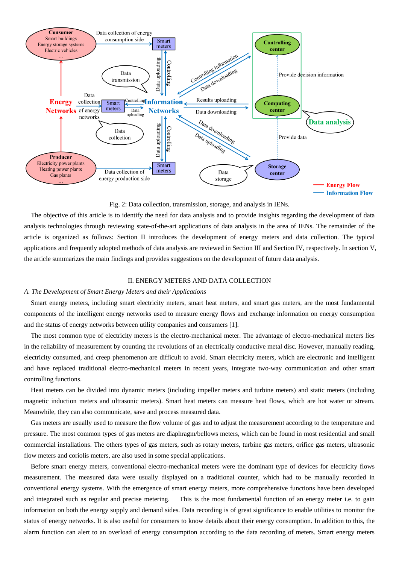

Fig. 2: Data collection, transmission, storage, and analysis in IENs.

The objective of this article is to identify the need for data analysis and to provide insights regarding the development of data analysis technologies through reviewing state-of-the-art applications of data analysis in the area of IENs. The remainder of the article is organized as follows: Section II introduces the development of energy meters and data collection. The typical applications and frequently adopted methods of data analysis are reviewed in Section III and Section IV, respectively. In section V, the article summarizes the main findings and provides suggestions on the development of future data analysis.

# II. ENERGY METERS AND DATA COLLECTION

#### *A. The Development of Smart Energy Meters and their Applications*

Smart energy meters, including smart electricity meters, smart heat meters, and smart gas meters, are the most fundamental components of the intelligent energy networks used to measure energy flows and exchange information on energy consumption and the status of energy networks between utility companies and consumers [1].

The most common type of electricity meters is the electro-mechanical meter. The advantage of electro-mechanical meters lies in the reliability of measurement by counting the revolutions of an electrically conductive metal disc. However, manually reading, electricity consumed, and creep phenomenon are difficult to avoid. Smart electricity meters, which are electronic and intelligent and have replaced traditional electro-mechanical meters in recent years, integrate two-way communication and other smart controlling functions.

Heat meters can be divided into dynamic meters (including impeller meters and turbine meters) and static meters (including magnetic induction meters and ultrasonic meters). Smart heat meters can measure heat flows, which are hot water or stream. Meanwhile, they can also communicate, save and process measured data.

Gas meters are usually used to measure the flow volume of gas and to adjust the measurement according to the temperature and pressure. The most common types of gas meters are diaphragm/bellows meters, which can be found in most residential and small commercial installations. The others types of gas meters, such as rotary meters, turbine gas meters, orifice gas meters, ultrasonic flow meters and coriolis meters, are also used in some special applications.

Before smart energy meters, conventional electro-mechanical meters were the dominant type of devices for electricity flows measurement. The measured data were usually displayed on a traditional counter, which had to be manually recorded in conventional energy systems. With the emergence of smart energy meters, more comprehensive functions have been developed and integrated such as regular and precise metering. This is the most fundamental function of an energy meter i.e. to gain information on both the energy supply and demand sides. Data recording is of great significance to enable utilities to monitor the status of energy networks. It is also useful for consumers to know details about their energy consumption. In addition to this, the alarm function can alert to an overload of energy consumption according to the data recording of meters. Smart energy meters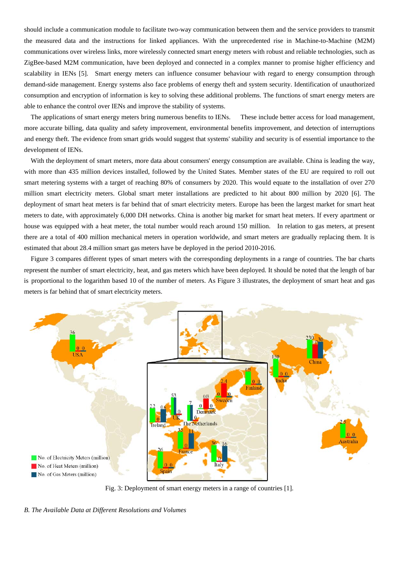should include a communication module to facilitate two-way communication between them and the service providers to transmit the measured data and the instructions for linked appliances. With the unprecedented rise in Machine-to-Machine (M2M) communications over wireless links, more wirelessly connected smart energy meters with robust and reliable technologies, such as ZigBee-based M2M communication, have been deployed and connected in a complex manner to promise higher efficiency and scalability in IENs [5]. Smart energy meters can influence consumer behaviour with regard to energy consumption through demand-side management. Energy systems also face problems of energy theft and system security. Identification of unauthorized consumption and encryption of information is key to solving these additional problems. The functions of smart energy meters are able to enhance the control over IENs and improve the stability of systems.

The applications of smart energy meters bring numerous benefits to IENs. These include better access for load management, more accurate billing, data quality and safety improvement, environmental benefits improvement, and detection of interruptions and energy theft. The evidence from smart grids would suggest that systems' stability and security is of essential importance to the development of IENs.

With the deployment of smart meters, more data about consumers' energy consumption are available. China is leading the way, with more than 435 million devices installed, followed by the United States. Member states of the EU are required to roll out smart metering systems with a target of reaching 80% of consumers by 2020. This would equate to the installation of over 270 million smart electricity meters. Global smart meter installations are predicted to hit about 800 million by 2020 [6]. The deployment of smart heat meters is far behind that of smart electricity meters. Europe has been the largest market for smart heat meters to date, with approximately 6,000 DH networks. China is another big market for smart heat meters. If every apartment or house was equipped with a heat meter, the total number would reach around 150 million. In relation to gas meters, at present there are a total of 400 million mechanical meters in operation worldwide, and smart meters are gradually replacing them. It is estimated that about 28.4 million smart gas meters have be deployed in the period 2010-2016.

Figure 3 compares different types of smart meters with the corresponding deployments in a range of countries. The bar charts represent the number of smart electricity, heat, and gas meters which have been deployed. It should be noted that the length of bar is proportional to the logarithm based 10 of the number of meters. As Figure 3 illustrates, the deployment of smart heat and gas meters is far behind that of smart electricity meters.



Fig. 3: Deployment of smart energy meters in a range of countries [1].

*B. The Available Data at Different Resolutions and Volumes*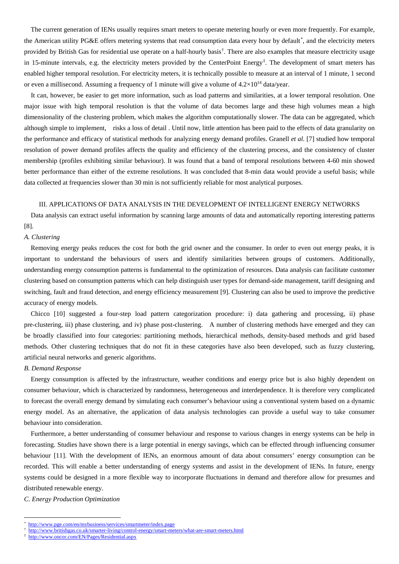The current generation of IENs usually requires smart meters to operate metering hourly or even more frequently. For example, the American utility PG&E offers metering systems that read consumption data every hour by default[\\*](#page-4-0), and the electricity meters provided by British Gas for residential use operate on a half-hourly basis[†](#page-4-1) . There are also examples that measure electricity usage in 15-minute intervals, e.g. the electricity meters provided by the CenterPoint Energy<sup>[‡](#page-4-2)</sup>. The development of smart meters has enabled higher temporal resolution. For electricity meters, it is technically possible to measure at an interval of 1 minute, 1 second or even a millisecond. Assuming a frequency of 1 minute will give a volume of  $4.2 \times 10^{14}$  data/year.

It can, however, be easier to get more information, such as load patterns and similarities, at a lower temporal resolution. One major issue with high temporal resolution is that the volume of data becomes large and these high volumes mean a high dimensionality of the clustering problem, which makes the algorithm computationally slower. The data can be aggregated, which although simple to implement, risks a loss of detail . Until now, little attention has been paid to the effects of data granularity on the performance and efficacy of statistical methods for analyzing energy demand profiles. Granell *et al.* [7] studied how temporal resolution of power demand profiles affects the quality and efficiency of the clustering process, and the consistency of cluster membership (profiles exhibiting similar behaviour). It was found that a band of temporal resolutions between 4-60 min showed better performance than either of the extreme resolutions. It was concluded that 8-min data would provide a useful basis; while data collected at frequencies slower than 30 min is not sufficiently reliable for most analytical purposes.

#### III. APPLICATIONS OF DATA ANALYSIS IN THE DEVELOPMENT OF INTELLIGENT ENERGY NETWORKS

Data analysis can extract useful information by scanning large amounts of data and automatically reporting interesting patterns [8].

# *A. Clustering*

Removing energy peaks reduces the cost for both the grid owner and the consumer. In order to even out energy peaks, it is important to understand the behaviours of users and identify similarities between groups of customers. Additionally, understanding energy consumption patterns is fundamental to the optimization of resources. Data analysis can facilitate customer clustering based on consumption patterns which can help distinguish user types for demand-side management, tariff designing and switching, fault and fraud detection, and energy efficiency measurement [9]. Clustering can also be used to improve the predictive accuracy of energy models.

Chicco [10] suggested a four-step load pattern categorization procedure: i) data gathering and processing, ii) phase pre-clustering, iii) phase clustering, and iv) phase post-clustering. A number of clustering methods have emerged and they can be broadly classified into four categories: partitioning methods, hierarchical methods, density-based methods and grid based methods. Other clustering techniques that do not fit in these categories have also been developed, such as fuzzy clustering, artificial neural networks and generic algorithms.

#### *B. Demand Response*

Energy consumption is affected by the infrastructure, weather conditions and energy price but is also highly dependent on consumer behaviour, which is characterized by randomness, heterogeneous and interdependence. It is therefore very complicated to forecast the overall energy demand by simulating each consumer's behaviour using a conventional system based on a dynamic energy model. As an alternative, the application of data analysis technologies can provide a useful way to take consumer behaviour into consideration.

Furthermore, a better understanding of consumer behaviour and response to various changes in energy systems can be help in forecasting. Studies have shown there is a large potential in energy savings, which can be effected through influencing consumer behaviour [11]. With the development of IENs, an enormous amount of data about consumers' energy consumption can be recorded. This will enable a better understanding of energy systems and assist in the development of IENs. In future, energy systems could be designed in a more flexible way to incorporate fluctuations in demand and therefore allow for presumes and distributed renewable energy.

*C. Energy Production Optimization*

<http://www.pge.com/en/mybusiness/services/smartmeter/index.page>

<span id="page-4-1"></span><span id="page-4-0"></span><sup>†</sup> <http://www.britishgas.co.uk/smarter-living/control-energy/smart-meters/what-are-smart-meters.html>

<span id="page-4-2"></span><http://www.oncor.com/EN/Pages/Residential.aspx>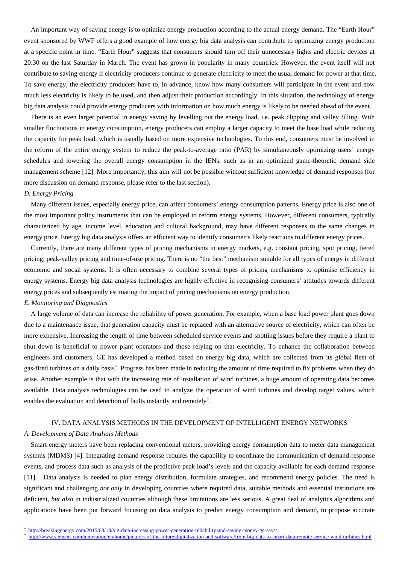An important way of saving energy is to optimize energy production according to the actual energy demand. The "Earth Hour" event sponsored by WWF offers a good example of how energy big data analysis can contribute to optimizing energy production at a specific point in time. "Earth Hour" suggests that consumers should turn off their unnecessary lights and electric devices at 20:30 on the last Saturday in March. The event has grown in popularity in many countries. However, the event itself will not contribute to saving energy if electricity producers continue to generate electricity to meet the usual demand for power at that time. To save energy, the electricity producers have to, in advance, know how many consumers will participate in the event and how much less electricity is likely to be used, and then adjust their production accordingly. In this situation, the technology of energy big data analysis could provide energy producers with information on how much energy is likely to be needed ahead of the event.

There is an even larger potential in energy saving by levelling out the energy load, i.e. peak clipping and valley filling. With smaller fluctuations in energy consumption, energy producers can employ a larger capacity to meet the base load while reducing the capacity for peak load, which is usually based on more expensive technologies. To this end, consumers must be involved in the reform of the entire energy system to reduce the peak-to-average ratio (PAR) by simultaneously optimizing users' energy schedules and lowering the overall energy consumption in the IENs, such as in an optimized game-theoretic demand side management scheme [12]. More importantly, this aim will not be possible without sufficient knowledge of demand responses (for more discussion on demand response, please refer to the last section).

#### *D. Energy Pricing*

Many different issues, especially energy price, can affect consumers' energy consumption patterns. Energy price is also one of the most important policy instruments that can be employed to reform energy systems. However, different consumers, typically characterized by age, income level, education and cultural background, may have different responses to the same changes in energy price. Energy big data analysis offers an efficient way to identify consumer's likely reactions to different energy prices.

Currently, there are many different types of pricing mechanisms in energy markets, e.g. constant pricing, spot pricing, tiered pricing, peak-valley pricing and time-of-use pricing. There is no "the best" mechanism suitable for all types of energy in different economic and social systems. It is often necessary to combine several types of pricing mechanisms to optimise efficiency in energy systems. Energy big data analysis technologies are highly effective in recognising consumers' attitudes towards different energy prices and subsequently estimating the impact of pricing mechanisms on energy production.

#### *E. Monitoring and Diagnostics*

A large volume of data can increase the reliability of power generation. For example, when a base load power plant goes down due to a maintenance issue, that generation capacity must be replaced with an alternative source of electricity, which can often be more expensive. Increasing the length of time between scheduled service events and spotting issues before they require a plant to shut down is beneficial to power plant operators and those relying on that electricity. To enhance the collaboration between engineers and customers, GE has developed a method based on energy big data, which are collected from its global fleet of gas-fired turbines on a daily basis[\\*](#page-5-0) . Progress has been made in reducing the amount of time required to fix problems when they do arise. Another example is that with the increasing rate of installation of wind turbines, a huge amount of operating data becomes available. Data analysis technologies can be used to analyze the operation of wind turbines and develop target values, which enables the evaluation and detection of faults instantly and remotely[†](#page-5-1) .

# IV. DATA ANALYSIS METHODS IN THE DEVELOPMENT OF INTELLIGENT ENERGY NETWORKS

#### *A. Development of Data Analysis Methods*

Smart energy meters have been replacing conventional meters, providing energy consumption data to meter data management systems (MDMS) [4]. Integrating demand response requires the capability to coordinate the communication of demand-response events, and process data such as analysis of the predictive peak load's levels and the capacity available for each demand response [11]. Data analysis is needed to plan energy distribution, formulate strategies, and recommend energy policies. The need is significant and challenging *not only* in developing countries where required data, suitable methods and essential institutions are deficient, *but also* in industrialized countries although these limitations are less serious. A great deal of analytics algorithms and applications have been put forward focusing on data analysis to predict energy consumption and demand, to propose accurate

<span id="page-5-0"></span><http://breakingenergy.com/2015/03/18/big-data-increasing-power-generation-reliability-and-saving-money-ge-says/>

<span id="page-5-1"></span><sup>†</sup> <http://www.siemens.com/innovation/en/home/pictures-of-the-future/digitalization-and-software/from-big-data-to-smart-data-remote-service-wind-turbines.html>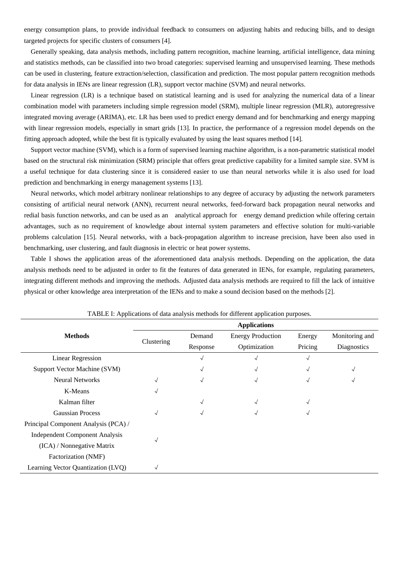energy consumption plans, to provide individual feedback to consumers on adjusting habits and reducing bills, and to design targeted projects for specific clusters of consumers [4].

Generally speaking, data analysis methods, including pattern recognition, machine learning, artificial intelligence, data mining and statistics methods, can be classified into two broad categories: supervised learning and unsupervised learning. These methods can be used in clustering, feature extraction/selection, classification and prediction. The most popular pattern recognition methods for data analysis in IENs are linear regression (LR), support vector machine (SVM) and neural networks.

Linear regression (LR) is a technique based on statistical learning and is used for analyzing the numerical data of a linear combination model with parameters including simple regression model (SRM), multiple linear regression (MLR), autoregressive integrated moving average (ARIMA), etc. LR has been used to predict energy demand and for benchmarking and energy mapping with linear regression models, especially in smart grids [13]. In practice, the performance of a regression model depends on the fitting approach adopted, while the best fit is typically evaluated by using the least squares method [14].

Support vector machine (SVM), which is a form of supervised learning machine algorithm, is a non-parametric statistical model based on the structural risk minimization (SRM) principle that offers great predictive capability for a limited sample size. SVM is a useful technique for data clustering since it is considered easier to use than neural networks while it is also used for load prediction and benchmarking in energy management systems [13].

Neural networks, which model arbitrary nonlinear relationships to any degree of accuracy by adjusting the network parameters consisting of artificial neural network (ANN), recurrent neural networks, feed-forward back propagation neural networks and redial basis function networks, and can be used as an analytical approach for energy demand prediction while offering certain advantages, such as no requirement of knowledge about internal system parameters and effective solution for multi-variable problems calculation [15]. Neural networks, with a back-propagation algorithm to increase precision, have been also used in benchmarking, user clustering, and fault diagnosis in electric or heat power systems.

Table I shows the application areas of the aforementioned data analysis methods. Depending on the application, the data analysis methods need to be adjusted in order to fit the features of data generated in IENs, for example, regulating parameters, integrating different methods and improving the methods. Adjusted data analysis methods are required to fill the lack of intuitive physical or other knowledge area interpretation of the IENs and to make a sound decision based on the methods [2].

| <b>Methods</b>                        | <b>Applications</b> |          |                          |         |                |
|---------------------------------------|---------------------|----------|--------------------------|---------|----------------|
|                                       | Clustering          | Demand   | <b>Energy Production</b> | Energy  | Monitoring and |
|                                       |                     | Response | Optimization             | Pricing | Diagnostics    |
| <b>Linear Regression</b>              |                     |          |                          |         |                |
| Support Vector Machine (SVM)          |                     | √        |                          |         |                |
| <b>Neural Networks</b>                | $\sqrt{}$           | $\sim$   | √                        | √       | √              |
| K-Means                               | √                   |          |                          |         |                |
| Kalman filter                         |                     | √        | √                        |         |                |
| <b>Gaussian Process</b>               | √                   | $\sim$   |                          |         |                |
| Principal Component Analysis (PCA) /  |                     |          |                          |         |                |
| <b>Independent Component Analysis</b> | √                   |          |                          |         |                |
| (ICA) / Nonnegative Matrix            |                     |          |                          |         |                |
| Factorization (NMF)                   |                     |          |                          |         |                |
| Learning Vector Quantization (LVQ)    | √                   |          |                          |         |                |

TABLE I: Applications of data analysis methods for different application purposes.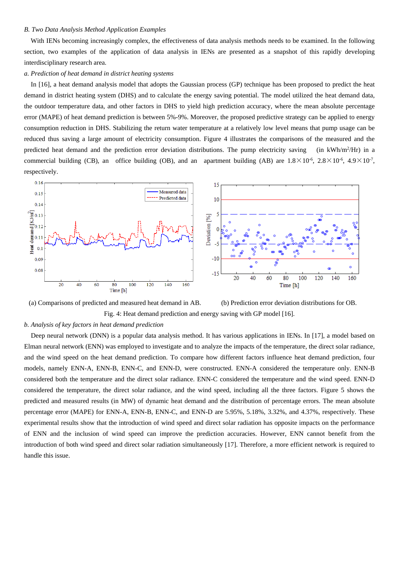#### *B. Two Data Analysis Method Application Examples*

With IENs becoming increasingly complex, the effectiveness of data analysis methods needs to be examined. In the following section, two examples of the application of data analysis in IENs are presented as a snapshot of this rapidly developing interdisciplinary research area.

#### *a. Prediction of heat demand in district heating systems*

In [16], a heat demand analysis model that adopts the Gaussian process (GP) technique has been proposed to predict the heat demand in district heating system (DHS) and to calculate the energy saving potential. The model utilized the heat demand data, the outdoor temperature data, and other factors in DHS to yield high prediction accuracy, where the mean absolute percentage error (MAPE) of heat demand prediction is between 5%-9%. Moreover, the proposed predictive strategy can be applied to energy consumption reduction in DHS. Stabilizing the return water temperature at a relatively low level means that pump usage can be reduced thus saving a large amount of electricity consumption. Figure 4 illustrates the comparisons of the measured and the predicted heat demand and the prediction error deviation distributions. The pump electricity saving (in  $kWh/m^2/Hr$ ) in a commercial building (CB), an office building (OB), and an apartment building (AB) are  $1.8 \times 10^{-6}$ ,  $2.8 \times 10^{-6}$ ,  $4.9 \times 10^{-7}$ , respectively.



(a) Comparisons of predicted and measured heat demand in AB. (b) Prediction error deviation distributions for OB. Fig. 4: Heat demand prediction and energy saving with GP model [16].

#### *b. Analysis of key factors in heat demand prediction*

Deep neural network (DNN) is a popular data analysis method. It has various applications in IENs. In [17], a model based on Elman neural network (ENN) was employed to investigate and to analyze the impacts of the temperature, the direct solar radiance, and the wind speed on the heat demand prediction. To compare how different factors influence heat demand prediction, four models, namely ENN-A, ENN-B, ENN-C, and ENN-D, were constructed. ENN-A considered the temperature only. ENN-B considered both the temperature and the direct solar radiance. ENN-C considered the temperature and the wind speed. ENN-D considered the temperature, the direct solar radiance, and the wind speed, including all the three factors. Figure 5 shows the predicted and measured results (in MW) of dynamic heat demand and the distribution of percentage errors. The mean absolute percentage error (MAPE) for ENN-A, ENN-B, ENN-C, and ENN-D are 5.95%, 5.18%, 3.32%, and 4.37%, respectively. These experimental results show that the introduction of wind speed and direct solar radiation has opposite impacts on the performance of ENN and the inclusion of wind speed can improve the prediction accuracies. However, ENN cannot benefit from the introduction of both wind speed and direct solar radiation simultaneously [17]. Therefore, a more efficient network is required to handle this issue.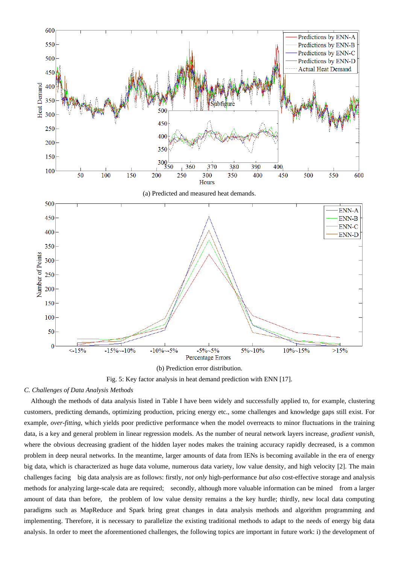



#### *C. Challenges of Data Analysis Methods*

Although the methods of data analysis listed in Table I have been widely and successfully applied to, for example, clustering customers, predicting demands, optimizing production, pricing energy etc., some challenges and knowledge gaps still exist. For example, *over-fitting*, which yields poor predictive performance when the model overreacts to minor fluctuations in the training data, is a key and general problem in linear regression models. As the number of neural network layers increase, *gradient vanish*, where the obvious decreasing gradient of the hidden layer nodes makes the training accuracy rapidly decreased, is a common problem in deep neural networks. In the meantime, larger amounts of data from IENs is becoming available in the era of energy big data, which is characterized as huge data volume, numerous data variety, low value density, and high velocity [2]. The main challenges facing big data analysis are as follows: firstly, *not only* high-performance *but also* cost-effective storage and analysis methods for analyzing large-scale data are required; secondly, although more valuable information can be mined from a larger amount of data than before, the problem of low value density remains a the key hurdle; thirdly, new local data computing paradigms such as MapReduce and Spark bring great changes in data analysis methods and algorithm programming and implementing. Therefore, it is necessary to parallelize the existing traditional methods to adapt to the needs of energy big data analysis. In order to meet the aforementioned challenges, the following topics are important in future work: i) the development of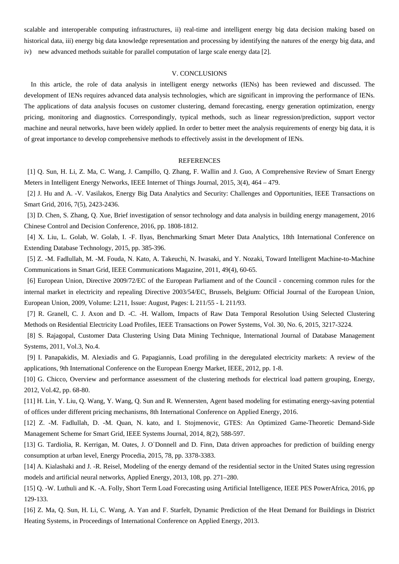scalable and interoperable computing infrastructures, ii) real-time and intelligent energy big data decision making based on historical data, iii) energy big data knowledge representation and processing by identifying the natures of the energy big data, and iv) new advanced methods suitable for parallel computation of large scale energy data [2].

### V. CONCLUSIONS

In this article, the role of data analysis in intelligent energy networks (IENs) has been reviewed and discussed. The development of IENs requires advanced data analysis technologies, which are significant in improving the performance of IENs. The applications of data analysis focuses on customer clustering, demand forecasting, energy generation optimization, energy pricing, monitoring and diagnostics. Correspondingly, typical methods, such as linear regression/prediction, support vector machine and neural networks, have been widely applied. In order to better meet the analysis requirements of energy big data, it is of great importance to develop comprehensive methods to effectively assist in the development of IENs.

#### REFERENCES

[1] Q. Sun, H. Li, Z. Ma, C. Wang, J. Campillo, Q. Zhang, F. Wallin and J. Guo, A Comprehensive Review of Smart Energy Meters in Intelligent Energy Networks, IEEE Internet of Things Journal, 2015, 3(4), 464 – 479.

[2] J. Hu and A. -V. Vasilakos, Energy Big Data Analytics and Security: Challenges and Opportunities, IEEE Transactions on Smart Grid, 2016, 7(5), 2423-2436.

[3] D. Chen, S. Zhang, Q. Xue, Brief investigation of sensor technology and data analysis in building energy management, 2016 Chinese Control and Decision Conference, 2016, pp. 1808-1812.

[4] X. Liu, L. Golab, W. Golab, I. -F. Ilyas, Benchmarking Smart Meter Data Analytics, 18th International Conference on Extending Database Technology, 2015, pp. 385-396.

[5] Z. -M. Fadlullah, M. -M. Fouda, N. Kato, A. Takeuchi, N. Iwasaki, and Y. Nozaki, Toward Intelligent Machine-to-Machine Communications in Smart Grid, IEEE Communications Magazine, 2011, 49(4), 60-65.

[6] European Union, Directive 2009/72/EC of the European Parliament and of the Council - concerning common rules for the internal market in electricity and repealing Directive 2003/54/EC, Brussels, Belgium: Official Journal of the European Union, European Union, 2009, Volume: L211, Issue: August, Pages: L 211/55 - L 211/93.

[7] R. Granell, C. J. Axon and D. -C. -H. Wallom, Impacts of Raw Data Temporal Resolution Using Selected Clustering Methods on Residential Electricity Load Profiles, IEEE Transactions on Power Systems, Vol. 30, No. 6, 2015, 3217-3224.

[8] S. Rajagopal, Customer Data Clustering Using Data Mining Technique, International Journal of Database Management Systems, 2011, Vol.3, No.4.

[9] I. Panapakidis, M. Alexiadis and G. Papagiannis, Load profiling in the deregulated electricity markets: A review of the applications, 9th International Conference on the European Energy Market, IEEE, 2012, pp. 1-8.

[10] G. Chicco, Overview and performance assessment of the clustering methods for electrical load pattern grouping, Energy, 2012, Vol.42, pp. 68-80.

[11] H. Lin, Y. Liu, Q. Wang, Y. Wang, Q. Sun and R. Wennersten, Agent based modeling for estimating energy-saving potential of offices under different pricing mechanisms, 8th International Conference on Applied Energy, 2016.

[12] Z. -M. Fadlullah, D. -M. Quan, N. kato, and I. Stojmenovic, GTES: An Optimized Game-Theoretic Demand-Side Management Scheme for Smart Grid, IEEE Systems Journal, 2014, 8(2), 588-597.

[13] G. Tardiolia, R. Kerrigan, M. Oates, J. O`Donnell and D. Finn, Data driven approaches for prediction of building energy consumption at urban level, Energy Procedia, 2015, 78, pp. 3378-3383.

[14] A. Kialashaki and J. -R. Reisel, Modeling of the energy demand of the residential sector in the United States using regression models and artificial neural networks, Applied Energy, 2013, 108, pp. 271–280.

[15] Q. -W. Luthuli and K. -A. Folly, Short Term Load Forecasting using Artificial Intelligence, IEEE PES PowerAfrica, 2016, pp 129-133.

[16] Z. Ma, Q. Sun, H. Li, C. Wang, A. Yan and F. Starfelt, Dynamic Prediction of the Heat Demand for Buildings in District Heating Systems, in Proceedings of International Conference on Applied Energy, 2013.